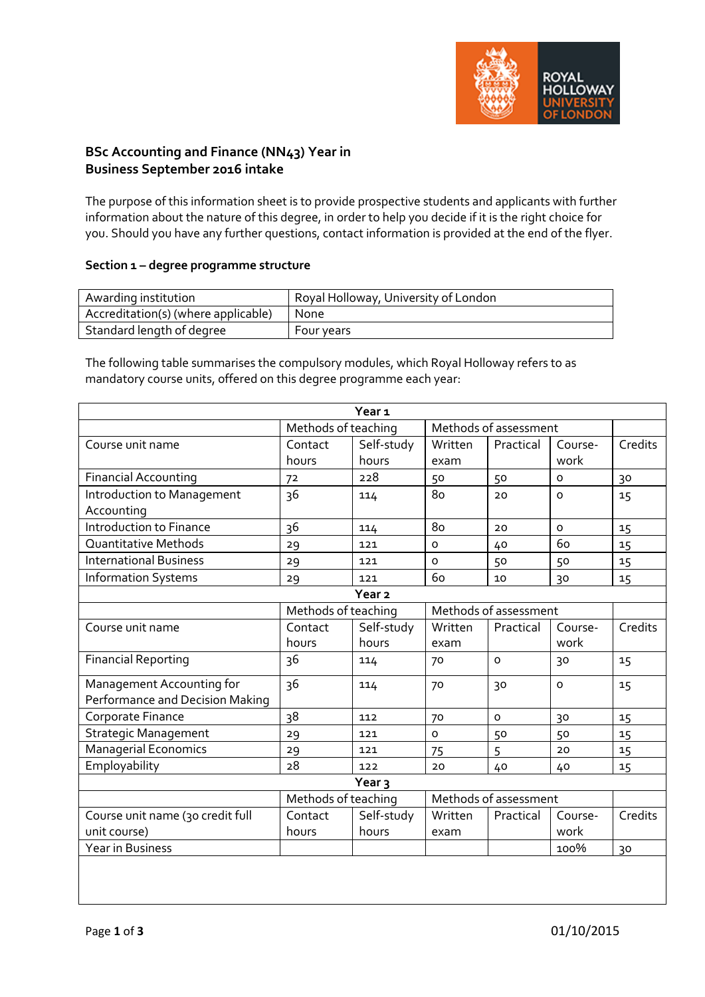

# **BSc Accounting and Finance (NN43) Year in Business September 2016 intake**

The purpose of this information sheet is to provide prospective students and applicants with further information about the nature of this degree, in order to help you decide if it is the right choice for you. Should you have any further questions, contact information is provided at the end of the flyer.

## **Section 1 – degree programme structure**

| Awarding institution                | Royal Holloway, University of London |
|-------------------------------------|--------------------------------------|
| Accreditation(s) (where applicable) | None                                 |
| Standard length of degree           | Four years                           |

The following table summarises the compulsory modules, which Royal Holloway refers to as mandatory course units, offered on this degree programme each year:

|                                                              |                     | Year <sub>1</sub>   |                       |           |                 |         |
|--------------------------------------------------------------|---------------------|---------------------|-----------------------|-----------|-----------------|---------|
|                                                              | Methods of teaching |                     | Methods of assessment |           |                 |         |
| Course unit name                                             | Contact<br>hours    | Self-study<br>hours | Written<br>exam       | Practical | Course-<br>work | Credits |
| <b>Financial Accounting</b>                                  | 72                  | 228                 | 50                    | 50        | $\mathsf{o}$    | 30      |
| Introduction to Management<br>Accounting                     | 36                  | 114                 | 80                    | 20        | $\mathsf{o}$    | 15      |
| Introduction to Finance                                      | 36                  | 114                 | 80                    | 20        | $\Omega$        | 15      |
| Quantitative Methods                                         | 29                  | 121                 | $\circ$               | 40        | 60              | 15      |
| <b>International Business</b>                                | 29                  | 121                 | $\circ$               | 50        | 50              | 15      |
| <b>Information Systems</b>                                   | 29                  | 121                 | 60                    | 10        | 30              | 15      |
|                                                              |                     | Year <sub>2</sub>   |                       |           |                 |         |
|                                                              | Methods of teaching |                     | Methods of assessment |           |                 |         |
| Course unit name                                             | Contact<br>hours    | Self-study<br>hours | Written<br>exam       | Practical | Course-<br>work | Credits |
| <b>Financial Reporting</b>                                   | 36                  | 114                 | 70                    | $\Omega$  | 30              | 15      |
| Management Accounting for<br>Performance and Decision Making | 36                  | 114                 | 70                    | 30        | $\Omega$        | 15      |
| Corporate Finance                                            | 38                  | 112                 | 70                    | $\circ$   | 30              | 15      |
| <b>Strategic Management</b>                                  | 29                  | 121                 | $\circ$               | 50        | 50              | 15      |
| Managerial Economics                                         | 29                  | 121                 | 75                    | 5         | 20              | 15      |
| Employability                                                | 28                  | 122                 | 20                    | 40        | 40              | 15      |
|                                                              |                     | Year $\overline{3}$ |                       |           |                 |         |
|                                                              | Methods of teaching |                     | Methods of assessment |           |                 |         |
| Course unit name (30 credit full<br>unit course)             | Contact<br>hours    | Self-study<br>hours | Written<br>exam       | Practical | Course-<br>work | Credits |
| <b>Year in Business</b>                                      |                     |                     |                       |           | 100%            | 30      |
|                                                              |                     |                     |                       |           |                 |         |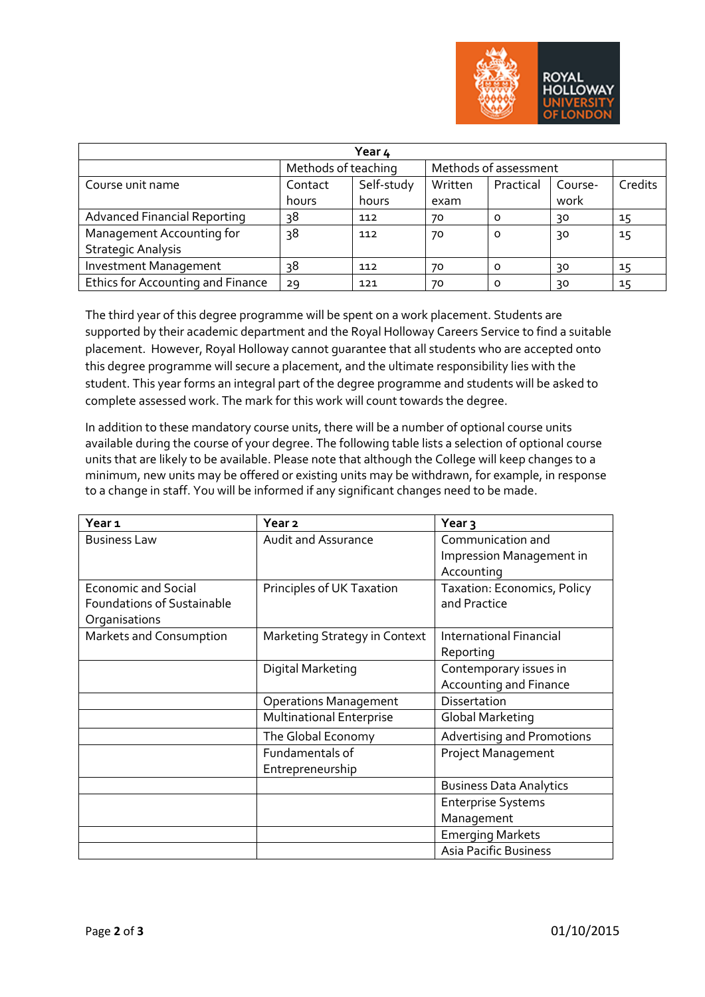

| Year 4                              |                     |            |                       |           |         |         |
|-------------------------------------|---------------------|------------|-----------------------|-----------|---------|---------|
|                                     | Methods of teaching |            | Methods of assessment |           |         |         |
| Course unit name                    | Contact             | Self-study | Written               | Practical | Course- | Credits |
|                                     | hours               | hours      | exam                  |           | work    |         |
| <b>Advanced Financial Reporting</b> | 38                  | 112        | 70                    | 0         | 30      | 15      |
| Management Accounting for           | 38                  | 112        | 70                    | O         | 30      | 15      |
| <b>Strategic Analysis</b>           |                     |            |                       |           |         |         |
| Investment Management               | 38                  | 112        | 70                    | O         | 30      | 15      |
| Ethics for Accounting and Finance   | 29                  | 121        | 70                    | O         | 30      | 15      |

The third year of this degree programme will be spent on a work placement. Students are supported by their academic department and the Royal Holloway Careers Service to find a suitable placement. However, Royal Holloway cannot guarantee that all students who are accepted onto this degree programme will secure a placement, and the ultimate responsibility lies with the student. This year forms an integral part of the degree programme and students will be asked to complete assessed work. The mark for this work will count towards the degree.

In addition to these mandatory course units, there will be a number of optional course units available during the course of your degree. The following table lists a selection of optional course units that are likely to be available. Please note that although the College will keep changes to a minimum, new units may be offered or existing units may be withdrawn, for example, in response to a change in staff. You will be informed if any significant changes need to be made.

| Year <sub>1</sub>                 | Year <sub>2</sub>               | Year <sub>3</sub>                 |
|-----------------------------------|---------------------------------|-----------------------------------|
| <b>Business Law</b>               | <b>Audit and Assurance</b>      | Communication and                 |
|                                   |                                 | Impression Management in          |
|                                   |                                 | Accounting                        |
| <b>Economic and Social</b>        | Principles of UK Taxation       | Taxation: Economics, Policy       |
| <b>Foundations of Sustainable</b> |                                 | and Practice                      |
| Organisations                     |                                 |                                   |
| Markets and Consumption           | Marketing Strategy in Context   | International Financial           |
|                                   |                                 | Reporting                         |
|                                   | Digital Marketing               | Contemporary issues in            |
|                                   |                                 | Accounting and Finance            |
|                                   | <b>Operations Management</b>    | Dissertation                      |
|                                   | <b>Multinational Enterprise</b> | Global Marketing                  |
|                                   | The Global Economy              | <b>Advertising and Promotions</b> |
|                                   | Fundamentals of                 | <b>Project Management</b>         |
|                                   | Entrepreneurship                |                                   |
|                                   |                                 | <b>Business Data Analytics</b>    |
|                                   |                                 | <b>Enterprise Systems</b>         |
|                                   |                                 | Management                        |
|                                   |                                 | <b>Emerging Markets</b>           |
|                                   |                                 | <b>Asia Pacific Business</b>      |